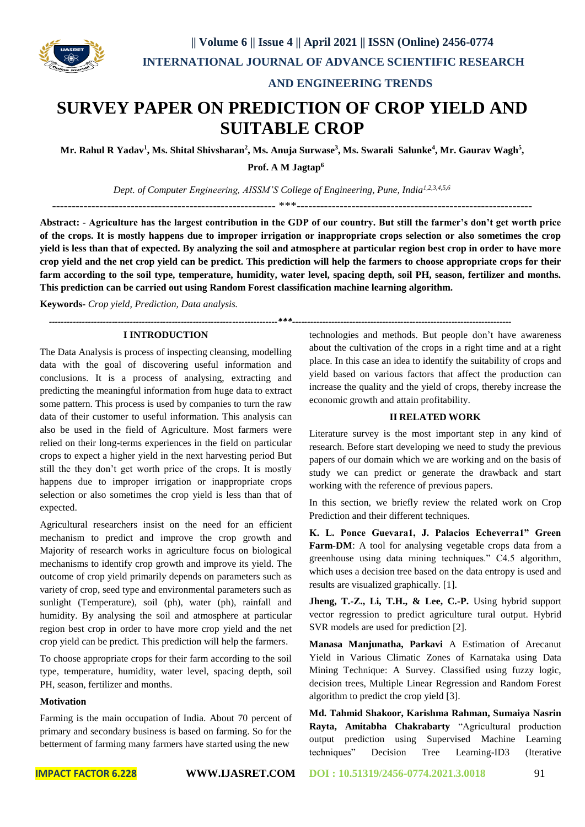

 **AND ENGINEERING TRENDS** 

# **SURVEY PAPER ON PREDICTION OF CROP YIELD AND SUITABLE CROP**

Mr. Rahul R Yadav<sup>1</sup>, Ms. Shital Shivsharan<sup>2</sup>, Ms. Anuja Surwase<sup>3</sup>, Ms. Swarali Salunke<sup>4</sup>, Mr. Gaurav Wagh<sup>5</sup>,

**Prof. A M Jagtap<sup>6</sup>**

*Dept. of Computer Engineering, AISSM'S College of Engineering, Pune, India1,2,3,4,5,6*

*----------------------------------------------------------------------------\*\*\*-------------------------------------------------------------------------*

--------------------------------------------------------- \*\*\*------------------------------------------------------------

**Abstract: - Agriculture has the largest contribution in the GDP of our country. But still the farmer's don't get worth price of the crops. It is mostly happens due to improper irrigation or inappropriate crops selection or also sometimes the crop yield is less than that of expected. By analyzing the soil and atmosphere at particular region best crop in order to have more crop yield and the net crop yield can be predict. This prediction will help the farmers to choose appropriate crops for their farm according to the soil type, temperature, humidity, water level, spacing depth, soil PH, season, fertilizer and months. This prediction can be carried out using Random Forest classification machine learning algorithm.**

**Keywords-** *Crop yield, Prediction, Data analysis.*

## **I INTRODUCTION**

The Data Analysis is process of inspecting cleansing, modelling data with the goal of discovering useful information and conclusions. It is a process of analysing, extracting and predicting the meaningful information from huge data to extract some pattern. This process is used by companies to turn the raw data of their customer to useful information. This analysis can also be used in the field of Agriculture. Most farmers were relied on their long-terms experiences in the field on particular crops to expect a higher yield in the next harvesting period But still the they don't get worth price of the crops. It is mostly happens due to improper irrigation or inappropriate crops selection or also sometimes the crop yield is less than that of expected.

Agricultural researchers insist on the need for an efficient mechanism to predict and improve the crop growth and Majority of research works in agriculture focus on biological mechanisms to identify crop growth and improve its yield. The outcome of crop yield primarily depends on parameters such as variety of crop, seed type and environmental parameters such as sunlight (Temperature), soil (ph), water (ph), rainfall and humidity. By analysing the soil and atmosphere at particular region best crop in order to have more crop yield and the net crop yield can be predict. This prediction will help the farmers.

To choose appropriate crops for their farm according to the soil type, temperature, humidity, water level, spacing depth, soil PH, season, fertilizer and months.

#### **Motivation**

Farming is the main occupation of India. About 70 percent of primary and secondary business is based on farming. So for the betterment of farming many farmers have started using the new

technologies and methods. But people don't have awareness about the cultivation of the crops in a right time and at a right place. In this case an idea to identify the suitability of crops and yield based on various factors that affect the production can increase the quality and the yield of crops, thereby increase the economic growth and attain profitability.

### **II RELATED WORK**

Literature survey is the most important step in any kind of research. Before start developing we need to study the previous papers of our domain which we are working and on the basis of study we can predict or generate the drawback and start working with the reference of previous papers.

In this section, we briefly review the related work on Crop Prediction and their different techniques.

**K. L. Ponce Guevara1, J. Palacios Echeverra1" Green Farm-DM**: A tool for analysing vegetable crops data from a greenhouse using data mining techniques." C4.5 algorithm, which uses a decision tree based on the data entropy is used and results are visualized graphically. [1].

**Jheng, T.-Z., Li, T.H., & Lee, C.-P.** Using hybrid support vector regression to predict agriculture tural output. Hybrid SVR models are used for prediction [2].

**Manasa Manjunatha, Parkavi** A Estimation of Arecanut Yield in Various Climatic Zones of Karnataka using Data Mining Technique: A Survey. Classified using fuzzy logic, decision trees, Multiple Linear Regression and Random Forest algorithm to predict the crop yield [3].

**Md. Tahmid Shakoor, Karishma Rahman, Sumaiya Nasrin Rayta, Amitabha Chakrabarty** "Agricultural production output prediction using Supervised Machine Learning techniques" Decision Tree Learning-ID3 (Iterative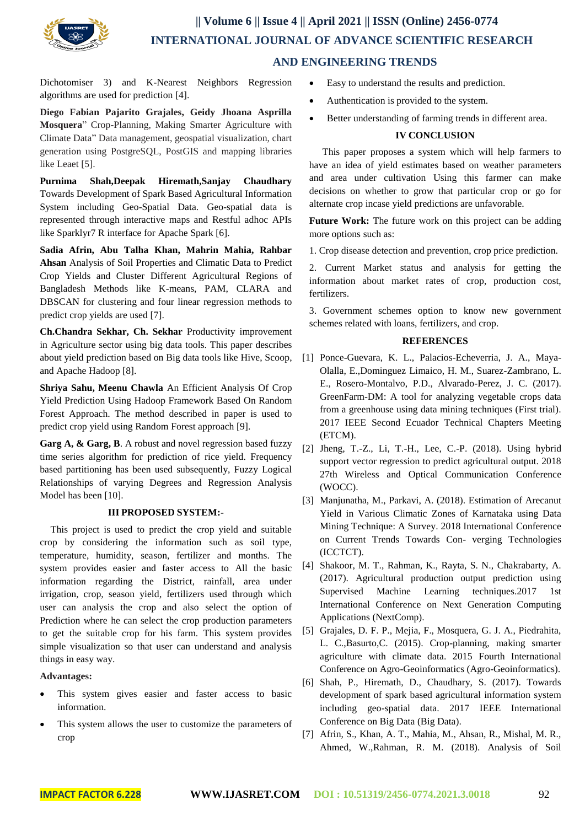

Dichotomiser 3) and K-Nearest Neighbors Regression algorithms are used for prediction [4].

**Diego Fabian Pajarito Grajales, Geidy Jhoana Asprilla Mosquera**" Crop-Planning, Making Smarter Agriculture with Climate Data" Data management, geospatial visualization, chart generation using PostgreSQL, PostGIS and mapping libraries like Leaet [5].

**Purnima Shah,Deepak Hiremath,Sanjay Chaudhary** Towards Development of Spark Based Agricultural Information System including Geo-Spatial Data. Geo-spatial data is represented through interactive maps and Restful adhoc APIs like Sparklyr7 R interface for Apache Spark [6].

**Sadia Afrin, Abu Talha Khan, Mahrin Mahia, Rahbar Ahsan** Analysis of Soil Properties and Climatic Data to Predict Crop Yields and Cluster Different Agricultural Regions of Bangladesh Methods like K-means, PAM, CLARA and DBSCAN for clustering and four linear regression methods to predict crop yields are used [7].

**Ch.Chandra Sekhar, Ch. Sekhar** Productivity improvement in Agriculture sector using big data tools. This paper describes about yield prediction based on Big data tools like Hive, Scoop, and Apache Hadoop [8].

**Shriya Sahu, Meenu Chawla** An Efficient Analysis Of Crop Yield Prediction Using Hadoop Framework Based On Random Forest Approach. The method described in paper is used to predict crop yield using Random Forest approach [9].

**Garg A, & Garg, B**. A robust and novel regression based fuzzy time series algorithm for prediction of rice yield. Frequency based partitioning has been used subsequently, Fuzzy Logical Relationships of varying Degrees and Regression Analysis Model has been [10].

### **III PROPOSED SYSTEM:-**

This project is used to predict the crop yield and suitable crop by considering the information such as soil type, temperature, humidity, season, fertilizer and months. The system provides easier and faster access to All the basic information regarding the District, rainfall, area under irrigation, crop, season yield, fertilizers used through which user can analysis the crop and also select the option of Prediction where he can select the crop production parameters to get the suitable crop for his farm. This system provides simple visualization so that user can understand and analysis things in easy way.

### **Advantages:**

- This system gives easier and faster access to basic information.
- This system allows the user to customize the parameters of crop
- Easy to understand the results and prediction.
- Authentication is provided to the system.
- Better understanding of farming trends in different area.

#### **IV CONCLUSION**

This paper proposes a system which will help farmers to have an idea of yield estimates based on weather parameters and area under cultivation Using this farmer can make decisions on whether to grow that particular crop or go for alternate crop incase yield predictions are unfavorable.

**Future Work:** The future work on this project can be adding more options such as:

1. Crop disease detection and prevention, crop price prediction.

2. Current Market status and analysis for getting the information about market rates of crop, production cost, fertilizers.

3. Government schemes option to know new government schemes related with loans, fertilizers, and crop.

#### **REFERENCES**

- [1] Ponce-Guevara, K. L., Palacios-Echeverria, J. A., Maya-Olalla, E.,Dominguez Limaico, H. M., Suarez-Zambrano, L. E., Rosero-Montalvo, P.D., Alvarado-Perez, J. C. (2017). GreenFarm-DM: A tool for analyzing vegetable crops data from a greenhouse using data mining techniques (First trial). 2017 IEEE Second Ecuador Technical Chapters Meeting (ETCM).
- [2] Jheng, T.-Z., Li, T.-H., Lee, C.-P. (2018). Using hybrid support vector regression to predict agricultural output. 2018 27th Wireless and Optical Communication Conference (WOCC).
- [3] Manjunatha, M., Parkavi, A. (2018). Estimation of Arecanut Yield in Various Climatic Zones of Karnataka using Data Mining Technique: A Survey. 2018 International Conference on Current Trends Towards Con- verging Technologies (ICCTCT).
- [4] Shakoor, M. T., Rahman, K., Rayta, S. N., Chakrabarty, A. (2017). Agricultural production output prediction using Supervised Machine Learning techniques.2017 1st International Conference on Next Generation Computing Applications (NextComp).
- [5] Grajales, D. F. P., Mejia, F., Mosquera, G. J. A., Piedrahita, L. C.,Basurto,C. (2015). Crop-planning, making smarter agriculture with climate data. 2015 Fourth International Conference on Agro-Geoinformatics (Agro-Geoinformatics).
- [6] Shah, P., Hiremath, D., Chaudhary, S. (2017). Towards development of spark based agricultural information system including geo-spatial data. 2017 IEEE International Conference on Big Data (Big Data).
- [7] Afrin, S., Khan, A. T., Mahia, M., Ahsan, R., Mishal, M. R., Ahmed, W.,Rahman, R. M. (2018). Analysis of Soil